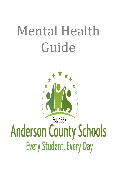# Mental Health Guide



# Est. 1867

# **Anderson County Schools Every Student, Every Day**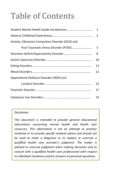## Table of Contents

|                                                  | 1              |
|--------------------------------------------------|----------------|
|                                                  | $\overline{2}$ |
| Anxiety, Obsessive Compulsive Disorder (OCD) and |                |
|                                                  | 5              |
|                                                  | 8              |
|                                                  | 10             |
|                                                  | 12             |
|                                                  | 12             |
| Oppositional Defiance Disorder (ODD) and         |                |
|                                                  | 15             |
|                                                  | 17             |
|                                                  | 19             |

#### *Disclaimer:*

*This document is intended to provide general educational information concerning mental health and health care resources. This information is not an attempt to practice medicine or to provide specific medical advice and should not be used to make a diagnosis or to replace or overrule a qualified health care provider's judgment. The reader is advised to exercise judgment when making decisions and to consult with a qualified health care professional with respect to individual situations and for answers to personal questions.*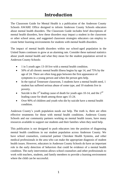## **Introduction**

The Classroom Guide for Mental Health is a publication of the Anderson County Schools AWARE Office designed to inform Anderson County Schools educators about mental health disorders. The Classroom Guide includes brief descriptions of mental health disorders, how these disorders may impact a student in the classroom or other school areas, and suggested classroom strategies educators can employ to create better learning environments for students with mental health disorders.

The impact of mental health disorders within our school-aged population in the United States continues to grow at an alarming rate. Consider these national statistics about youth mental health and what they mean for the student population served in Anderson County Schools:

- 1 in 5 youth ages 13-18 live with a mental health condition.
- 50% of all chronic mental health illness begins by age 14, and 75% by the age of 24. There are often long gaps between the first appearance of symptoms in a young person and when the person gets help.
- In the typical Tennessee classroom, 5 students have a mental health need, 1 student has suffered serious abuse of some type, and 10 students live in poverty.
- Suicide is the  $3<sup>rd</sup>$  leading cause of death for youth ages 10-14, and the  $2<sup>nd</sup>$ leading cause for death among those ages 15-24.
- Over 90% of children and youth who die by suicide have a mental health condition.

Anderson County's youth population needs our help. The truth is, there are often effective treatments for those with mental health conditions. Anderson County Schools and our community partners working on mental health issues, have many resources available to support our students and their families when they need help.

This publication is not designed to push educators into the position of diagnosing mental health conditions in our student population across Anderson County. We have school counselors, contracted partner Cherokee Health Systems, and other medical professionals in the area who can make the appropriate diagnosis of student health issues. However, educators in Anderson County Schools do have an important role in the early detection of behaviors that could be evidence of a mental health condition. The early intervention allows school counselors and other professionals to work with teachers, students, and family members to provide a learning environment where the child can be successful.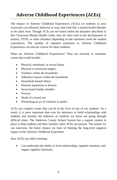## **Adverse Childhood Experiences (ACEs)**

The impact of Adverse Childhood Experiences (ACEs) on students in your classroom can influence behavior in ways that look like a mental health disorder in the short term. Though ACEs are not listed within the disorders described in this Classroom Mental Health Guide, they do often lead to the development of anxiety, PTSD, or other disorders depending on the traumatic event the student experiences. The number of repeated exposures to Adverse Childhood Experiences can also be a factor for these students.

What are Adverse Childhood Experiences? They are stressful or traumatic events that could include:

- Physical, emotional, or sexual abuse
- Physical or emotional neglect
- Violence within the household
- Substance misuse within the household
- Household mental illness
- Parental separation or divorce
- Incarcerated family member
- Poverty
- Death of a loved one
- Witnessing an act of violence in public

ACEs are complex issues that can be in the lives of any of our students. As a result, it is more important than ever for educators to build relationships with students and monitor the behavior of students we know are going through difficult times. The Anderson County School System has a support system in place to help students and their families when ACEs are present. The sooner we can intervene, the better chance we have of limiting the long-term negative impact of the Adverse Childhood Experience.

How ACEs can affect learning:

 Can undermine the ability to form relationships, regulate emotions, and impair cognitive functions.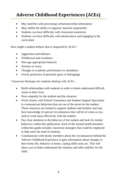## **Adverse Childhood Experiences (ACEs)**

- May interfere with processing verbal/nonverbal information
- May inhibit the ability to organize material sequentially
- Students can have difficulty with classroom transitions
- Students can have difficulty with attentiveness and engaging in the curriculum

How might a student behave that is impacted by ACEs?

- Aggression and defiance
- Withdrawal and avoidance
- Non-age-appropriate behavior
- Anxiety or worry
- Changes in academic performance or attendance
- Overly protective of personal space or belongings

Classroom Strategies for students dealing with ACEs…

- Build relationships with students in order to better understand difficult issues in their lives.
- Have empathy for the student and the situation.
- Work closely with School Counselors and Student Support Specialists to communicate behaviors that are out of the norm for the student. These resources are trained to support students and families and may have knowledge of special circumstances that will be of value as you seek to work most effectively with the student.
- Pay close attention to the behavior of the student and look for similar behaviors within this publication. Each of the mental health disorders within this guide includes classroom strategies that could be employed to help meet the need of students.
- Communicate with family members about the circumstances behind the Adverse Childhood Experience to gain information about changes in their home life, behavior at home, coping skills used, etc. This will allow you to better understand the situation and offer stability for the child.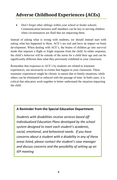## **Adverse Childhood Experiences (ACEs)**

 Don't forget other siblings within your school or feeder schools. Communication between staff members can be key to serving children when circumstances are fluid that are impacting them.

Instead of asking what is wrong with students, we should instead start with asking what has happened to them. ACE's are real and have an impact on brain development. When dealing with ACE's, the brains of children go into survival mode that imposes a flight or fright response from the child. In either response, the child's behavior will be outside of the norm for a child their age and can be significantly different than what they previously exhibited in your classroom.

Remember that responses to ACE's by students are related to traumatic experiences, not necessarily to events that happen in your classroom. These traumatic experiences might be chronic in nature due to family situations, while others can be eliminated or reduced with the passage of time. In both cases, it is critical that educators work together to better understand the situation impacting the child.

#### **A Reminder from the Special Education Department:**

*Students with disabilities receive services based off Individualized Education Plans developed by the school system designed to meet each student's academic, social, emotional, and behavioral needs. If you have concerns about a student with a disability in any of these areas listed, please contact the student's case manager and discuss concerns and the possibility of setting up an IEP meeting*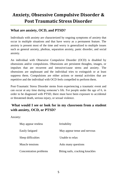## **Anxiety, Obsessive Compulsive Disorder & Post Traumatic Stress Disorder**

#### **What are anxiety, OCD, and PTSD?**

Individuals with anxiety are characterized by ongoing symptoms of anxiety that occur in multiple situations and that have worry as a permanent feature. The anxiety is present most of the time and worry is generalized to multiple issues such as general anxiety, phobias, separation anxiety, panic disorder, and social anxiety.

An individual with Obsessive Compulsive Disorder (OCD) is disabled by obsessions and/or compulsions. Obsessions are persistent thoughts, images, or impulses that are recurrent and intrusive/cause stress and anxiety. The obsessions are unpleasant and the individual tries to extinguish or at least suppress them. Compulsions are either actions or mental activities that are repetitive and the individual with OCD feels compelled to perform them.

Post-Traumatic Stress Disorder stems from experiencing a traumatic event and can occur at any time during someone's life. For people under the age of 6, in order to be diagnosed with PTSD, there must have been exposure to accidental or threatened death, serious injury, or sexual violence.

#### **What would I see or look for in my classroom from a student with anxiety, OCD, or PTSD?**

Anxiety:

| May appear restless    | Irritability                    |
|------------------------|---------------------------------|
| Easily fatigued        | May appear tense and nervous    |
| Sleep difficulties     | Unable to relax                 |
| Muscle tensions        | Asks many questions             |
| Concentration problems | Biting nails, cracking knuckles |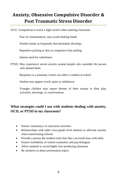## **Anxiety, Obsessive Compulsive Disorder & Post Traumatic Stress Disorder**

OCD: Compulsion to touch a light switch when entering classroom

Fear of contamination, may avoid shaking hands

Washes hands so frequently that dermatitis develops

Repetitive picking at skin or compulsive hair pulling

Intense need for orderliness

PTSD: May experience severe anxiety around people who resemble the person who abused them

Response to a traumatic events can affect a student at school

Student may appear overly quiet or withdrawn

 Younger children may repeat themes of their trauma in their play activities, drawings, or conversations

#### **What strategies could I use with students dealing with anxiety, OCD, or PTSD in my classroom?**

- Ensure consistency in classroom activities
- Relationships with older cross-grade level mentors to alleviate anxiety when transitioning schools
- Provide a person the student trusts that they can touch base with daily
- Ensure availability of school counselors and psychologists
- Allow students to avoid highly fear-producing situations
- Be sensitive to abuse presentation topics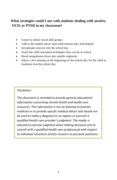#### **What strategies could I use with students dealing with anxiety, OCD, or PTSD in my classroom?**

- Create or utilize social skill groups
- Talk to the student about what interventions they find helpful
- Incorporate exercise into the school day
- Teach the child relaxation techniques they can do at school
- Break assignments down into smaller segments
- Allow a few minutes at the beginning of the school day for the child to transition into the school day.

#### *Disclaimer:*

*This document is intended to provide general educational information concerning mental health and health care resources. This information is not an attempt to practice medicine or to provide specific medical advice and should not be used to make a diagnosis or to replace or overrule a qualified health care provider's judgment. The reader is advised to exercise judgment when making decisions and to consult with a qualified health care professional with respect to individual situations and for answers to personal questions.*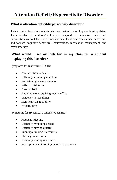## **Attention Deficit/Hyperactivity Disorder**

#### **What is attention deficit/hyperactivity disorder?**

This disorder includes students who are inattentive or hyperactive-impulsive. Three-fourths of children/adolescents respond to intensive behavioral intervention without the use of medications. Treatment can include behavioral and focused cognitive-behavioral interventions, medication management, and psychotherapy.

#### **What would I see or look for in my class for a student displaying this disorder?**

Symptoms for Inattentive ADHD:

- Poor attention to details
- Difficulty sustaining attention
- Not listening when spoken to
- Fails to finish tasks
- Disorganized
- Avoiding work requiring mental effort
- Tendency to lose things
- Significant distractibility
- Forgetfulness

Symptoms for Hyperactive-Impulsive ADHD:

- Frequent fidgeting
- Difficulty remaining seated
- Difficulty playing quietly
- Running/climbing excessively
- Blurting out answers
- Difficulty waiting one's turn
- Interrupting and intruding on others' activities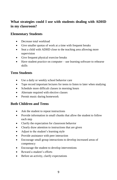#### **What strategies could I use with students dealing with ADHD in my classroom?**

#### **Elementary Students**

- Decrease total workload
- Give smaller quotas of work at a time with frequent breaks
- Seat a child with ADHD close to the teaching area allowing more supervision
- Give frequent physical exercise breaks
- Have student practice on computer use learning software to rehearse skills

#### **Teen Students**

- Use a daily or weekly school behavior care
- Tape record important lectures for teens to listen to later when studying
- Schedule more difficult classes in morning hours
- Alternate required with elective classes
- Permit music during homework

#### **Both Children and Teens**

- Ask the student to repeat instructions
- Provide information in small chunks that allow the student to follow each step
- Clarify the expectation for classroom behavior
- Clearly draw attention to instructions that are given
- Adjust to the student's learning style
- Provide assistance with peer interaction
- Encourage small group interactions to develop increased areas of competency
- Encourage the student to develop interventions
- Reward a student's efforts
- Before an activity, clarify expectations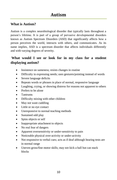#### **What is Autism?**

Autism is a complex neurobiological disorder that typically lasts throughout a person's lifetime. It is part of a group of pervasive developmental disorders known as Autism Spectrum Disorders (ASD) that significantly affects how a person perceives the world, interacts with others, and communicates. As its name implies, ASD is a spectrum disorder that affects individuals differently and with varying degrees of severity.

#### **What would I see or look for in my class for a student displaying autism?**

- Insistence on sameness; resists changes in routine
- Difficulty in expressing needs; uses gestures/pointing instead of words
- Severe language deficits
- Repeats words or phrases in place of normal, responsive language
- Laughing, crying, or showing distress for reasons not apparent to others
- Prefers to be alone
- **•** Tantrums
- Difficulty mixing with other children
- May not want cuddling
- Little or no eye contact
- Unresponsive to normal teaching methods
- Sustained odd play
- Spins objects or self
- Inappropriate attachment to objects
- No real fear of dangers
- Apparent oversensitivity or under-sensitivity to pain
- Noticeable physical over-activity or under-activity
- Not responsive to verbal cues; acts as if deaf although hearing tests are in normal range
- Uneven gross/fine motor skills; may not kick a ball but can stack blocks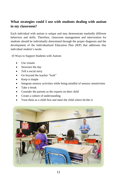#### **What strategies could I use with students dealing with autism in my classroom?**

Each individual with autism is unique and may demonstrate markedly different behaviors and skills. Therefore, classroom management and intervention for students should be individually determined through the proper diagnosis and the development of the Individualized Education Plan (IEP) that addresses that individual student's needs.

10 Ways to Support Students with Autism

- Use visuals
- Structure the day
- Tell a social story
- Go beyond the teacher "look"
- Keep it simple
- Integrate sensory activities while being mindful of sensory sensitivities
- Take a break
- Consider the parents as the experts on their child
- Create a culture of understanding
- Treat them as a child first and meet the child where he/she is

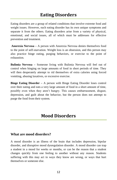Eating disorders are a group of related conditions that involve extreme food and weight issues. However, each eating disorder has its own unique symptoms and separate it from the others. Eating disorders arise from a variety of physical, emotional, and social issues, all of which must be addresses for effective prevention and treatment.

**Anorexia Nervosa –** A person with Anorexia Nervosa denies themselves food to the point of self-starvation. Weight loss is an obsession, and this person may also practice binge eating, purging behaviors, or exercise to the point of exhaustion.

**Bulimia Nervosa –** Someone living with Bulimia Nervosa will feel out of control when binging on large amounts of food in short periods of time. They will then desperately attempt to rid themselves of extra calories using forced vomiting, abusing laxatives, or excessive exercise.

**Binge Eating Disorder –** A person with Binge Eating Disorder loses control over their eating and eats a very large amount of food in a short amount of time, possibly even when they aren't hungry. This causes embarrassment, disgust, depression, and guilt about the behavior, but the person does not attempt to purge the food from their system.

### **Mood Disorders**

#### **What are mood disorders?**

A mood disorder is an illness of the brain that includes depression, bipolar disorder, and disruptive mood dysregulation disorder. A mood disorder can trap a student in a mood for weeks or months, or can be the reason that a student changes quickly from one feeling to another without any reason. Students suffering with this may act in ways they know are wrong, or ways that hurt themselves or someone else.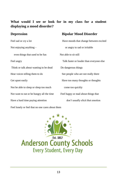#### **What would I see or look for in my class for a student displaying a mood disorder?**

Feel sad or cry a lot Not enjoying anything  $$ even things that used to be fun Feel angry Think or talk about wanting to be dead Hear voices telling them to do Get upset easily Not be able to sleep or sleep too much Not want to eat or be hungry all the time Have a hard time paying attention don't usually elicit that emotion

#### **Depression Bipolar Mood Disorder**

| Have moods that change between excited   |
|------------------------------------------|
| or angry to sad or irritable             |
| Not able to sit still                    |
| Talk faster or louder than everyone else |
| Do dangerous things                      |
| See people who are not really there      |
| Have too many thoughts or thoughts       |
| come too quickly                         |
| Feel happy or mad about things that      |
| don't usually elicit that emotion        |

Feel lonely or feel that no one cares about them

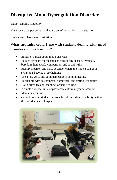## **Disruptive Mood Dysregulation Disorder**

Exhibit chronic irritability

Have severe temper outbursts that are out of proportion to the situation

Have a low tolerance of frustration

#### **What strategies could I use with students dealing with mood disorders in my classroom?**

- Educate yourself about mood disorders
- Reduce stressors for the student considering sensory overload, boredom, homework, competition, and social skills
- Identify a person and place at school where the student can go if symptoms become overwhelming
- Use a low voice and calm demeanor in communicating
- Be flexible with assignments, homework, and testing techniques
- Don't allow teasing, taunting, or name-calling
- Promote a respectful, compassionate culture in your classroom
- Maintain a routine
- Get to know the student's class schedule and show flexibility within their academic challenges

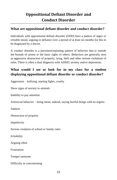### **Oppositional Defiant Disorder and Conduct Disorder**

#### **What are oppositional defiant disorder and conduct disorder?**

Individuals with oppositional defiant disorder (ODD) have a pattern of angry or irritable mood, arguing or defiance over a period of at least six months for this to be diagnosed by a doctor.

A conduct disorder is a persistent/repeating pattern of behavior that is outside the bounds of norms or the basic rights of others. Behaviors are generally seen as aggressive destruction of property, lying, theft and other serious violations of rules. There is often a dual diagnosis with ADHD, anxiety and/or depression.

#### **What would I see or look for in my class for a student displaying oppositional defiant disorder or conduct disorder?**

Aggression – bullying, starting fights, cruelty

Show signs of anxiety to animals

Inability to pay attention

Antisocial behavior – being mean, unkind, saying hurtful things with no regrets

**Sadness** 

Destruction of property

Impulsivity

Serious violation of school or family rules

Irritability

Arguing often

Frustration

Temper tantrums

Difficulty in concentrating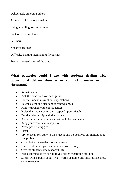| Deliberately annoying others              |
|-------------------------------------------|
| Failure to think before speaking          |
| Being unwilling to compromise             |
| Lack of self confidence                   |
| Self-harm                                 |
| Negative feelings                         |
| Difficulty making/maintaining friendships |
| Feeling annoved most of the time          |

#### **What strategies could I use with students dealing with oppositional defiant disorder or conduct disorder in my classroom?**

- Remain calm
- Pick the behaviors you can ignore
- Let the student know about expectations
- Be consistent and clear about consequences
- Follow through with consequences
- Praise the student when they respond appropriately
- Build a relationship with the student
- Avoid sarcasm or comments that could be misunderstood
- Keep your voice at a steady level
- Avoid power struggles
- Listen
- Try to speak privately to the student and be positive, but honest, about any problem
- Give choices when decisions are made
- Learn to structure your choices in a positive way
- Give the student some responsibility
- Plan a calming down period if you notice frustration building
- Speak with parents about what works at home and incorporate those same strategies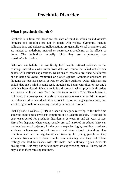#### **What is psychotic disorder?**

Psychosis is a term that describes the state of mind in which an individual's thoughts and emotions are not in touch with reality. Symptoms include hallucinations and delusions. Hallucinations are generally visual or auditory and are related to underlying medical or neurological problems, or the effects of drugs. The individuals actually think they are experiencing the situation/hallucination.

Delusions are beliefs that are firmly held despite rational evidence to the contrary. Individuals who suffer from delusions cannot be talked out of their beliefs with rational explanations. Delusions of paranoia are fixed beliefs that one is being followed, monitored or plotted against. Grandiose delusions are thoughts that possess special powers or god-like qualities. Other delusions are beliefs that one's mind is being read, thoughts are being controlled or that one's body has been altered. Schizophrenia is a disorder in which psychotic disorders are present with the onset from the late teens to early 20's. Though rare in childhood, if it does appear, it tends to have a more severe course. Prior to onset, individuals tend to have disabilities in social, motor, or language functions, and are at a higher risk for a learning disability or conduct disorder.

First Episode Psychosis (FEP) is a special category referring to the first time someone experiences psychosis symptoms or a psychotic episode. Given that the peak onset period for psychotic disorders is between 15 and 25 years of age, FEP often happens when young people are still enrolled in school. FEP can create a downward trajectory for the person experiencing it, resulting in reduced academic achievement, school dropout, and other school disruptions. The condition also can be frightening and isolating for young people as they withdraw from others or have trouble communicating how they feel. These feelings can lead to clashes with classmates and authority figures. Students dealing with FEP may not believe they are experiencing mental illness, which may lead to them refusing treatment.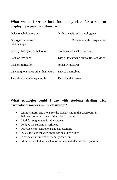#### **What would I see or look for in my class for a student displaying a psychotic disorder?**

| Delusions/hallucinations              | Problems with self-care/hygiene            |
|---------------------------------------|--------------------------------------------|
| Disorganized speech<br>relationships  | Problems with interpersonal                |
| Grossly disorganized behavior         | Problems with school or work               |
| Lack of emotions                      | Difficulty carrying out routine activities |
| Lack of motivation                    | Social withdrawal                          |
| Listening to a voice other than yours | Talk to themselves                         |
| Talk about delusions/paranoia         | Describe their fears                       |

#### **What strategies could I use with students dealing with psychotic disorders in my classroom?**

- Limit stressful situations for the student within the classroom, in hallways, or other areas of the school campus
- Modify assignments for the student
- Reduce the student's work load
- Provide clear instructions and expectations
- Assist the student with organizational difficulties
- Provide a staff member for daily check-in
- Monitor the student's behavior for suicidal ideation or depression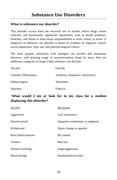#### **What is substance use disorder?**

This disorder occurs when the recurrent use of alcohol and/or drugs causes clinically and functionally significant impairment, such as health problems, disability, and failure to meet major responsibilities at work, school, or home. A diagnosis of substance use disorder is based on evidence of impaired control, social impairment, risky use, and pharmacological criteria.

The most popular substances with teenagers are alcohol and marijuana. However, with growing usage of non-prescription drugs by teens, here are additional categories of drugs within substance use disorder:

| Alcohol              | Opioids                           |
|----------------------|-----------------------------------|
| Cannabis (Marijuana) | Sedatives, Hypnotics, Anxiolytics |
| Hallucinogens        | <b>Stimulants</b>                 |
| Inhalants            | Tobacco                           |

#### **What would I see or look for in my class for a student displaying this disorder?**

| Alcohol                     | Marijuana                         |
|-----------------------------|-----------------------------------|
| Aggressive                  | Low motivation                    |
| Slurred speech              | Impaired coordination or judgment |
| Withdrawal                  | Major change in appetite.         |
| <b>Brief Hallucinations</b> | Dry mouth                         |
| <b>Tremors</b>              | Red eyes                          |
| Nausea/Vomiting             | Anger/aggression                  |
| Mood Swings                 | Headache/fever/chills             |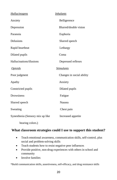| <b>Hallucinogens</b>             | <u>Inhalants</u>          |
|----------------------------------|---------------------------|
| Anxiety                          | Belligerence              |
| Depression                       | Blurred/double vision     |
| Paranoia                         | Euphoria                  |
| Delusions                        | Slurred speech            |
| Rapid heartbeat                  | Lethargy                  |
| Dilated pupils                   | Coma                      |
| Hallucinations/illusions         | Depressed reflexes        |
| <i><u><b>Opioids</b></u></i>     | <b>Stimulants</b>         |
| Poor judgment                    | Changes in social ability |
| Apathy                           | Anxiety                   |
| Constricted pupils               | Dilated pupils            |
| Drowsiness                       | Fatigue                   |
| Slurred speech                   | Nausea                    |
| Sweating                         | Chest pain                |
| Synesthesia (Sensory mix up like | Increased appetite        |
| hearing colors.)                 |                           |

#### **What classroom strategies could I use to support this student?**

- Teach emotional awareness, communication skills, self-control, plus social and problem-solving skills
- Teach students how to resist negative peer influences
- Provide positive, non-drug experiences with others in school and community
- Involve families

\*Build communication skills, assertiveness, self-efficacy, and drug resistance skills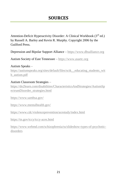## **SOURCES**

Attention-Deficit Hyperactivity Disorder: A Clinical Workbook (3<sup>rd</sup> ed.) by Russell A. Barley and Kevin R. Murphy. Copyright 2006 by the Guilford Press.

Depression and Bipolar Support Alliance – [https://www.dbsalliance.org](https://www.dbsalliance.org/)

Autism Society of East Tennessee – [https://www.asaetc.org](https://www.asaetc.org/)

Autism Speaks – [https://autismspeaks.org/sites/default/files/sctk\\_\\_educating\\_students\\_wit](https://autismspeaks.org/sites/default/files/sctk__educating_students_with_autism.pdf) [h\\_autism.pdf](https://autismspeaks.org/sites/default/files/sctk__educating_students_with_autism.pdf)

Autism Classroom Strategies – [https://do2learn.com/disabilities/CharacteristicsAndStrategies/AutismSp](https://do2learn.com/disabilities/CharacteristicsAndStrategies/AutismSpectrumDisorder_strategies.html) [ectrumDisorder\\_strategies.html](https://do2learn.com/disabilities/CharacteristicsAndStrategies/AutismSpectrumDisorder_strategies.html)

<https://www.samhsa.gov/>

<https://www.mentalhealth.gov/>

<https://www.cdc/violenceprevention/acestudy/index.html>

<https://tn.gov/tccy/tccy-aces.html>

[https://www.webmd.com/schizophrenia/ss/slideshow-types-of-psychotic](https://www.webmd.com/schizophrenia/ss/slideshow-types-of-psychotic-disorders)[disorders](https://www.webmd.com/schizophrenia/ss/slideshow-types-of-psychotic-disorders)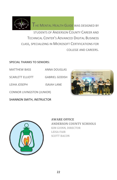THE MENTAL HEALTH GUIDE WAS DESIGNED BY STUDENTS OF ANDERSON COUNTY CAREER AND TECHNICAL CENTER'S ADVANCED DIGITAL BUSINESS CLASS, SPECIALIZING IN MICROSOFT CERTIFICATIONS FOR COLLEGE AND CAREERS.

#### **SPECIAL THANKS TO SENIORS:**

MATTHEW BASS ANNA DOUGLAS

SCARLETT ELLIOTT GABRIEL GODISH

LEIHA JOSEPH ISAIAH LANE

CONNOR LIVINGSTON (JUNIOR)

SHANNON SMITH, INSTRUCTOR





**AWARE OFFICE ANDERSON COUNTY SCHOOLS** KIM GUINN, DIRECTOR LEISA FAIR SCOTT BACON